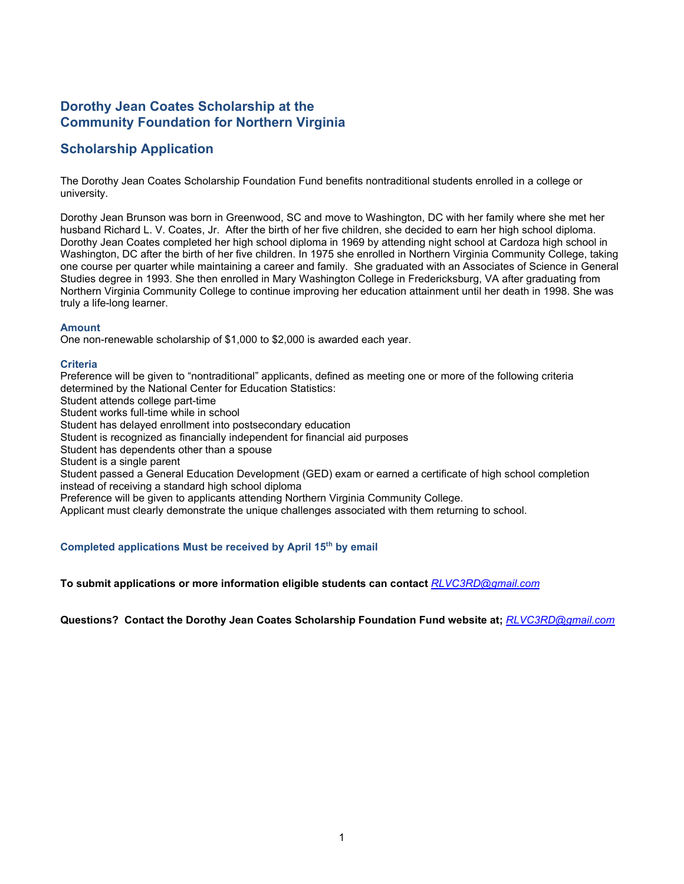## **Dorothy Jean Coates Scholarship at the Community Foundation for Northern Virginia**

# **Scholarship Application**

The Dorothy Jean Coates Scholarship Foundation Fund benefits nontraditional students enrolled in a college or university.

Dorothy Jean Brunson was born in Greenwood, SC and move to Washington, DC with her family where she met her husband Richard L. V. Coates, Jr. After the birth of her five children, she decided to earn her high school diploma. Dorothy Jean Coates completed her high school diploma in 1969 by attending night school at Cardoza high school in Washington, DC after the birth of her five children. In 1975 she enrolled in Northern Virginia Community College, taking one course per quarter while maintaining a career and family. She graduated with an Associates of Science in General Studies degree in 1993. She then enrolled in Mary Washington College in Fredericksburg, VA after graduating from Northern Virginia Community College to continue improving her education attainment until her death in 1998. She was truly a life-long learner.

#### **Amount**

One non-renewable scholarship of \$1,000 to \$2,000 is awarded each year.

#### **Criteria**

Preference will be given to "nontraditional" applicants, defined as meeting one or more of the following criteria determined by the National Center for Education Statistics: Student attends college part-time Student works full-time while in school Student has delayed enrollment into postsecondary education Student is recognized as financially independent for financial aid purposes Student has dependents other than a spouse Student is a single parent Student passed a General Education Development (GED) exam or earned a certificate of high school completion instead of receiving a standard high school diploma Preference will be given to applicants attending Northern Virginia Community College. Applicant must clearly demonstrate the unique challenges associated with them returning to school.

#### **Completed applications Must be received by April 15th by email**

**To submit applications or more information eligible students can contact** *[RLVC3RD@gmail.com](mailto:RLVC3RD@gmail.com)*

**Questions? Contact the Dorothy Jean Coates Scholarship Foundation Fund website at;** *[RLVC3RD@gmail.com](mailto:RLVC3RD@gmail.com)*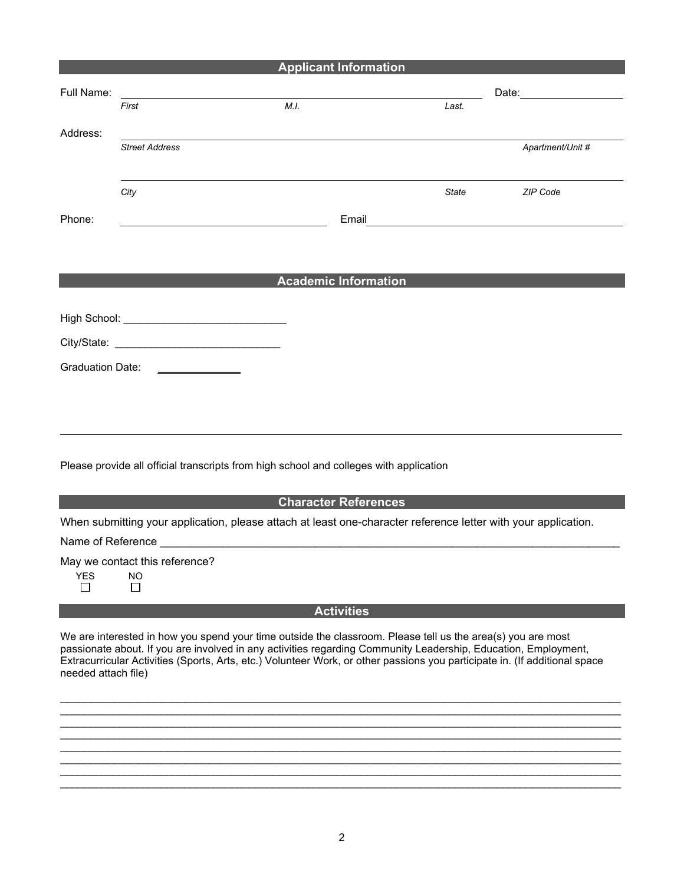|                                                                                        |                                | <b>Applicant Information</b>                                                                                   |                                                                                                                       |                                 |  |
|----------------------------------------------------------------------------------------|--------------------------------|----------------------------------------------------------------------------------------------------------------|-----------------------------------------------------------------------------------------------------------------------|---------------------------------|--|
| Full Name:                                                                             |                                |                                                                                                                |                                                                                                                       | Date: <u>__________________</u> |  |
|                                                                                        | First                          | M.I.                                                                                                           | Last.                                                                                                                 |                                 |  |
| Address:                                                                               |                                |                                                                                                                |                                                                                                                       |                                 |  |
|                                                                                        | <b>Street Address</b>          |                                                                                                                |                                                                                                                       | Apartment/Unit #                |  |
|                                                                                        | City                           |                                                                                                                | <b>State</b>                                                                                                          | ZIP Code                        |  |
| Phone:                                                                                 |                                | Email                                                                                                          | <u> 1989 - Johann Harry Harry Harry Harry Harry Harry Harry Harry Harry Harry Harry Harry Harry Harry Harry Harry</u> |                                 |  |
|                                                                                        |                                |                                                                                                                |                                                                                                                       |                                 |  |
|                                                                                        |                                | <b>Academic Information</b>                                                                                    |                                                                                                                       |                                 |  |
|                                                                                        |                                |                                                                                                                |                                                                                                                       |                                 |  |
|                                                                                        |                                |                                                                                                                |                                                                                                                       |                                 |  |
|                                                                                        |                                |                                                                                                                |                                                                                                                       |                                 |  |
| <b>Graduation Date:</b>                                                                |                                |                                                                                                                |                                                                                                                       |                                 |  |
|                                                                                        |                                |                                                                                                                |                                                                                                                       |                                 |  |
|                                                                                        |                                |                                                                                                                |                                                                                                                       |                                 |  |
|                                                                                        |                                |                                                                                                                |                                                                                                                       |                                 |  |
|                                                                                        |                                |                                                                                                                |                                                                                                                       |                                 |  |
| Please provide all official transcripts from high school and colleges with application |                                |                                                                                                                |                                                                                                                       |                                 |  |
|                                                                                        |                                |                                                                                                                |                                                                                                                       |                                 |  |
|                                                                                        |                                | <b>Character References</b>                                                                                    |                                                                                                                       |                                 |  |
|                                                                                        |                                | When submitting your application, please attach at least one-character reference letter with your application. |                                                                                                                       |                                 |  |
|                                                                                        |                                |                                                                                                                |                                                                                                                       |                                 |  |
|                                                                                        | May we contact this reference? |                                                                                                                |                                                                                                                       |                                 |  |
| <b>YES</b><br>$\Box$                                                                   | <b>NO</b><br>П                 |                                                                                                                |                                                                                                                       |                                 |  |
|                                                                                        |                                | $A = 45.345 \pm 0.000$                                                                                         |                                                                                                                       |                                 |  |

**Activities** 

We are interested in how you spend your time outside the classroom. Please tell us the area(s) you are most passionate about. If you are involved in any activities regarding Community Leadership, Education, Employment, Extracurricular Activities (Sports, Arts, etc.) Volunteer Work, or other passions you participate in. (If additional space needed attach file)

 $\_$  ,  $\_$  ,  $\_$  ,  $\_$  ,  $\_$  ,  $\_$  ,  $\_$  ,  $\_$  ,  $\_$  ,  $\_$  ,  $\_$  ,  $\_$  ,  $\_$  ,  $\_$  ,  $\_$  ,  $\_$  ,  $\_$  ,  $\_$  ,  $\_$  ,  $\_$  ,  $\_$  ,  $\_$  ,  $\_$  ,  $\_$  ,  $\_$  ,  $\_$  ,  $\_$  ,  $\_$  ,  $\_$  ,  $\_$  ,  $\_$  ,  $\_$  ,  $\_$  ,  $\_$  ,  $\_$  ,  $\_$  ,  $\_$  , \_\_\_\_\_\_\_\_\_\_\_\_\_\_\_\_\_\_\_\_\_\_\_\_\_\_\_\_\_\_\_\_\_\_\_\_\_\_\_\_\_\_\_\_\_\_\_\_\_\_\_\_\_\_\_\_\_\_\_\_\_\_\_\_\_\_\_\_\_\_\_\_\_\_\_\_\_\_\_\_\_\_\_\_\_\_\_\_\_\_\_\_\_\_\_  $\_$  ,  $\_$  ,  $\_$  ,  $\_$  ,  $\_$  ,  $\_$  ,  $\_$  ,  $\_$  ,  $\_$  ,  $\_$  ,  $\_$  ,  $\_$  ,  $\_$  ,  $\_$  ,  $\_$  ,  $\_$  ,  $\_$  ,  $\_$  ,  $\_$  ,  $\_$  ,  $\_$  ,  $\_$  ,  $\_$  ,  $\_$  ,  $\_$  ,  $\_$  ,  $\_$  ,  $\_$  ,  $\_$  ,  $\_$  ,  $\_$  ,  $\_$  ,  $\_$  ,  $\_$  ,  $\_$  ,  $\_$  ,  $\_$  ,  $\_$  ,  $\_$  ,  $\_$  ,  $\_$  ,  $\_$  ,  $\_$  ,  $\_$  ,  $\_$  ,  $\_$  ,  $\_$  ,  $\_$  ,  $\_$  ,  $\_$  ,  $\_$  ,  $\_$  ,  $\_$  ,  $\_$  ,  $\_$  ,  $\_$  ,  $\_$  ,  $\_$  ,  $\_$  ,  $\_$  ,  $\_$  ,  $\_$  ,  $\_$  ,  $\_$  ,  $\_$  ,  $\_$  ,  $\_$  ,  $\_$  ,  $\_$  ,  $\_$  ,  $\_$  ,  $\_$  ,  $\_$  ,  $\_$  ,  $\_$  ,  $\_$  ,  $\_$  ,  $\_$  ,  $\_$  ,  $\_$  ,  $\_$  ,  $\_$  ,  $\_$  ,  $\_$  ,  $\_$  ,  $\_$  ,  $\_$  ,  $\_$  ,  $\_$  ,  $\_$  ,  $\_$  ,  $\_$  ,  $\_$  ,  $\_$  ,  $\_$  ,  $\_$  ,  $\_$  ,  $\_$  ,  $\_$  ,  $\_$  ,  $\_$  ,  $\_$  ,  $\_$  ,  $\_$  ,  $\_$  ,  $\_$  ,  $\_$  ,  $\_$  ,  $\_$  ,  $\_$  ,  $\_$  ,  $\_$  ,  $\_$  ,  $\_$  ,  $\_$  ,  $\_$  ,  $\_$  ,  $\_$  ,  $\_$  ,  $\_$  ,  $\_$  ,  $\_$  ,  $\_$  ,  $\_$  ,  $\_$  ,  $\_$  ,  $\_$  ,  $\_$  ,  $\_$  ,  $\_$  ,  $\_$  ,  $\_$  ,  $\_$  ,  $\_$  ,  $\_$  ,  $\_$  ,  $\_$  ,  $\_$  ,  $\_$  ,  $\_$  ,  $\_$  ,  $\_$  ,  $\_$  ,  $\_$  ,  $\_$  ,  $\_$  ,  $\_$  ,  $\_$  ,  $\_$  ,  $\_$  ,  $\_$  ,  $\_$  ,  $\_$  ,  $\_$  ,  $\_$  ,  $\_$  ,  $\_$  ,  $\_$  ,  $\_$  ,  $\_$  ,  $\_$  ,  $\_$  ,  $\_$  ,  $\_$  ,  $\_$  ,  $\_$  ,  $\_$  ,  $\_$  ,  $\_$  ,  $\_$  ,  $\_$  ,  $\_$  ,  $\_$  ,  $\_$  ,  $\_$  ,  $\_$  ,  $\_$  ,  $\_$  ,  $\_$  ,  $\_$  ,  $\_$  ,  $\_$  ,  $\_$  ,  $\_$  ,  $\_$  ,  $\_$  ,  $\_$  ,  $\_$  ,  $\_$  ,  $\_$  ,  $\_$  ,  $\_$  ,  $\_$  ,  $\_$  ,  $\_$  ,  $\_$  ,  $\_$  ,  $\_$  ,  $\_$  ,  $\_$  ,  $\_$  ,  $\_$  ,  $\_$  ,  $\_$  ,  $\_$  ,  $\_$  ,  $\_$  ,  $\_$  ,  $\_$  ,  $\_$  ,  $\_$  ,  $\_$  ,  $\_$  ,  $\_$  ,  $\_$  ,  $\_$  ,  $\_$  ,  $\_$  ,  $\_$  ,  $\_$  ,  $\_$  ,  $\_$  ,